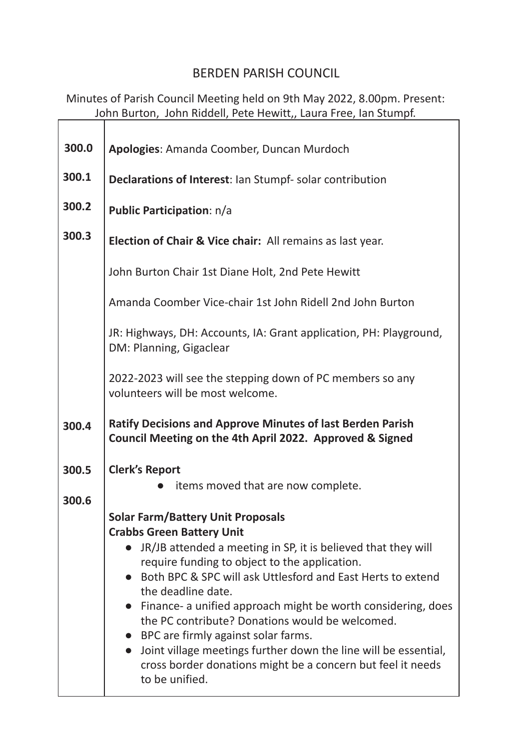## BERDEN PARISH COUNCIL

Minutes of Parish Council Meeting held on 9th May 2022, 8.00pm. Present: John Burton, John Riddell, Pete Hewitt,, Laura Free, Ian Stumpf.

| Apologies: Amanda Coomber, Duncan Murdoch                                                                                     |
|-------------------------------------------------------------------------------------------------------------------------------|
| Declarations of Interest: Ian Stumpf- solar contribution                                                                      |
| <b>Public Participation: n/a</b>                                                                                              |
|                                                                                                                               |
| <b>Election of Chair &amp; Vice chair:</b> All remains as last year.                                                          |
| John Burton Chair 1st Diane Holt, 2nd Pete Hewitt                                                                             |
| Amanda Coomber Vice-chair 1st John Ridell 2nd John Burton                                                                     |
| JR: Highways, DH: Accounts, IA: Grant application, PH: Playground,<br>DM: Planning, Gigaclear                                 |
| 2022-2023 will see the stepping down of PC members so any<br>volunteers will be most welcome.                                 |
|                                                                                                                               |
| <b>Ratify Decisions and Approve Minutes of last Berden Parish</b><br>Council Meeting on the 4th April 2022. Approved & Signed |
|                                                                                                                               |
| <b>Clerk's Report</b><br>items moved that are now complete.                                                                   |
|                                                                                                                               |
| <b>Solar Farm/Battery Unit Proposals</b><br><b>Crabbs Green Battery Unit</b>                                                  |
| JR/JB attended a meeting in SP, it is believed that they will                                                                 |
| require funding to object to the application.<br>Both BPC & SPC will ask Uttlesford and East Herts to extend                  |
| the deadline date.                                                                                                            |
| Finance- a unified approach might be worth considering, does<br>the PC contribute? Donations would be welcomed.               |
| • BPC are firmly against solar farms.<br>Joint village meetings further down the line will be essential,                      |
|                                                                                                                               |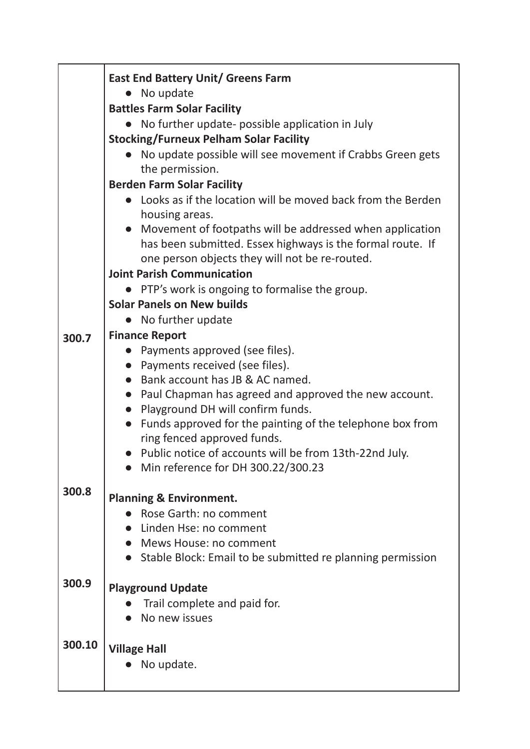|        | <b>East End Battery Unit/ Greens Farm</b>                                                                    |
|--------|--------------------------------------------------------------------------------------------------------------|
|        | No update<br><b>Battles Farm Solar Facility</b>                                                              |
|        | No further update- possible application in July                                                              |
|        | <b>Stocking/Furneux Pelham Solar Facility</b>                                                                |
|        | No update possible will see movement if Crabbs Green gets                                                    |
|        | the permission.                                                                                              |
|        | <b>Berden Farm Solar Facility</b>                                                                            |
|        | • Looks as if the location will be moved back from the Berden<br>housing areas.                              |
|        | Movement of footpaths will be addressed when application                                                     |
|        | has been submitted. Essex highways is the formal route. If<br>one person objects they will not be re-routed. |
|        | <b>Joint Parish Communication</b>                                                                            |
|        | PTP's work is ongoing to formalise the group.                                                                |
|        | <b>Solar Panels on New builds</b>                                                                            |
|        | No further update                                                                                            |
| 300.7  | <b>Finance Report</b>                                                                                        |
|        | Payments approved (see files).                                                                               |
|        | • Payments received (see files).                                                                             |
|        | • Bank account has JB & AC named.                                                                            |
|        | • Paul Chapman has agreed and approved the new account.                                                      |
|        | • Playground DH will confirm funds.                                                                          |
|        | • Funds approved for the painting of the telephone box from                                                  |
|        | ring fenced approved funds.<br>Public notice of accounts will be from 13th-22nd July.                        |
|        | Min reference for DH 300.22/300.23                                                                           |
|        |                                                                                                              |
| 300.8  | <b>Planning &amp; Environment.</b>                                                                           |
|        | Rose Garth: no comment                                                                                       |
|        | Linden Hse: no comment                                                                                       |
|        | • Mews House: no comment                                                                                     |
|        | Stable Block: Email to be submitted re planning permission                                                   |
| 300.9  | <b>Playground Update</b>                                                                                     |
|        | Trail complete and paid for.                                                                                 |
|        | No new issues                                                                                                |
|        |                                                                                                              |
| 300.10 | <b>Village Hall</b>                                                                                          |
|        | No update.                                                                                                   |
|        |                                                                                                              |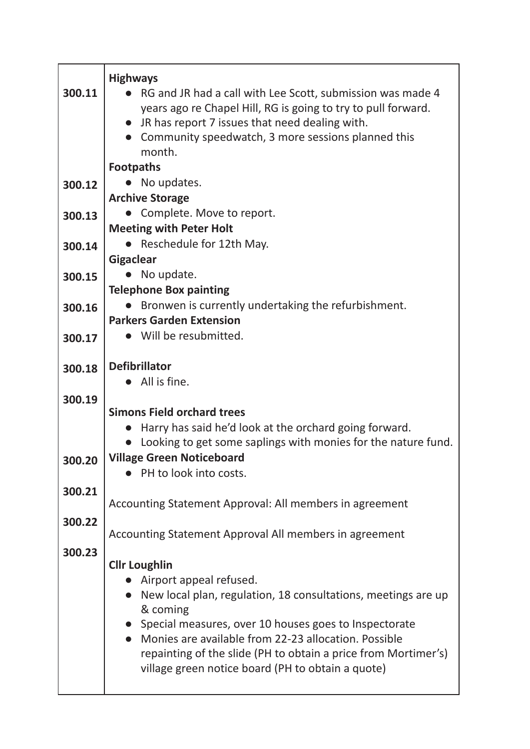|        | <b>Highways</b>                                                                                                   |
|--------|-------------------------------------------------------------------------------------------------------------------|
| 300.11 | RG and JR had a call with Lee Scott, submission was made 4                                                        |
|        | years ago re Chapel Hill, RG is going to try to pull forward.                                                     |
|        | • JR has report 7 issues that need dealing with.                                                                  |
|        | Community speedwatch, 3 more sessions planned this                                                                |
|        | month.                                                                                                            |
|        | <b>Footpaths</b>                                                                                                  |
| 300.12 | • No updates.                                                                                                     |
|        | <b>Archive Storage</b>                                                                                            |
| 300.13 | • Complete. Move to report.                                                                                       |
|        | <b>Meeting with Peter Holt</b>                                                                                    |
| 300.14 | • Reschedule for 12th May.                                                                                        |
|        | <b>Gigaclear</b>                                                                                                  |
| 300.15 | No update.                                                                                                        |
|        | <b>Telephone Box painting</b>                                                                                     |
| 300.16 | Bronwen is currently undertaking the refurbishment.                                                               |
|        | <b>Parkers Garden Extension</b>                                                                                   |
| 300.17 | Will be resubmitted.                                                                                              |
| 300.18 | <b>Defibrillator</b>                                                                                              |
|        | All is fine.                                                                                                      |
| 300.19 |                                                                                                                   |
|        | <b>Simons Field orchard trees</b>                                                                                 |
|        | Harry has said he'd look at the orchard going forward.                                                            |
|        | Looking to get some saplings with monies for the nature fund.                                                     |
| 300.20 | <b>Village Green Noticeboard</b>                                                                                  |
|        | PH to look into costs.                                                                                            |
| 300.21 |                                                                                                                   |
|        | Accounting Statement Approval: All members in agreement                                                           |
| 300.22 |                                                                                                                   |
|        | Accounting Statement Approval All members in agreement                                                            |
| 300.23 |                                                                                                                   |
|        | <b>Cllr Loughlin</b>                                                                                              |
|        | Airport appeal refused.                                                                                           |
|        | • New local plan, regulation, 18 consultations, meetings are up                                                   |
|        | & coming                                                                                                          |
|        | • Special measures, over 10 houses goes to Inspectorate<br>• Monies are available from 22-23 allocation. Possible |
|        | repainting of the slide (PH to obtain a price from Mortimer's)                                                    |
|        | village green notice board (PH to obtain a quote)                                                                 |
|        |                                                                                                                   |